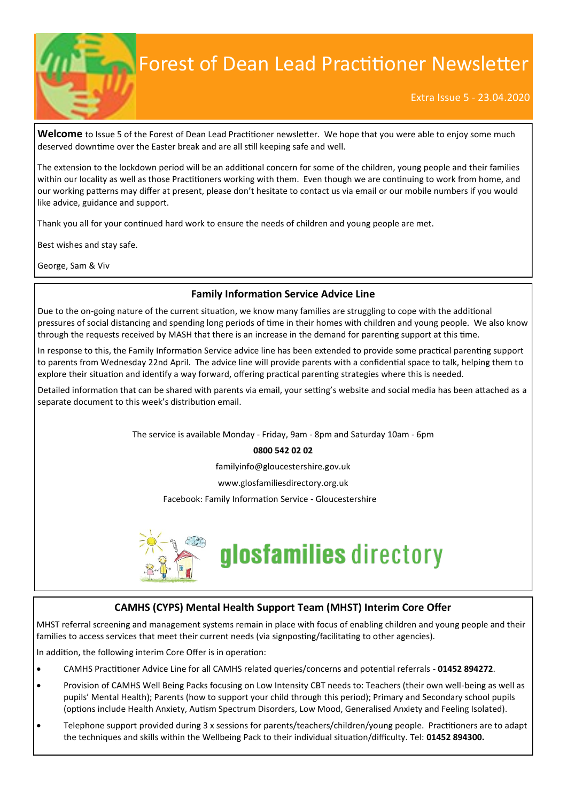

# Forest of Dean Lead Practitioner Newsletter

#### Extra Issue 5 - 23.04.2020

**Welcome** to Issue 5 of the Forest of Dean Lead Practitioner newsletter. We hope that you were able to enjoy some much deserved downtime over the Easter break and are all still keeping safe and well.

The extension to the lockdown period will be an additional concern for some of the children, young people and their families within our locality as well as those Practitioners working with them. Even though we are continuing to work from home, and our working patterns may differ at present, please don't hesitate to contact us via email or our mobile numbers if you would like advice, guidance and support.

Thank you all for your continued hard work to ensure the needs of children and young people are met.

Best wishes and stay safe.

George, Sam & Viv

#### **Family Information Service Advice Line**

Due to the on-going nature of the current situation, we know many families are struggling to cope with the additional pressures of social distancing and spending long periods of time in their homes with children and young people. We also know through the requests received by MASH that there is an increase in the demand for parenting support at this time.

In response to this, the Family Information Service advice line has been extended to provide some practical parenting support to parents from Wednesday 22nd April. The advice line will provide parents with a confidential space to talk, helping them to explore their situation and identify a way forward, offering practical parenting strategies where this is needed.

Detailed information that can be shared with parents via email, your setting's website and social media has been attached as a separate document to this week's distribution email.

The service is available Monday - Friday, 9am - 8pm and Saturday 10am - 6pm

#### **0800 542 02 02**

familyinfo@gloucestershire.gov.uk

www.glosfamiliesdirectory.org.uk

Facebook: Family Information Service - Gloucestershire



# glosfamilies directory

# **CAMHS (CYPS) Mental Health Support Team (MHST) Interim Core Offer**

MHST referral screening and management systems remain in place with focus of enabling children and young people and their families to access services that meet their current needs (via signposting/facilitating to other agencies).

In addition, the following interim Core Offer is in operation:

- CAMHS Practitioner Advice Line for all CAMHS related queries/concerns and potential referrals **01452 894272**.
- Provision of CAMHS Well Being Packs focusing on Low Intensity CBT needs to: Teachers (their own well-being as well as pupils' Mental Health); Parents (how to support your child through this period); Primary and Secondary school pupils (options include Health Anxiety, Autism Spectrum Disorders, Low Mood, Generalised Anxiety and Feeling Isolated).
- Telephone support provided during 3 x sessions for parents/teachers/children/young people. Practitioners are to adapt the techniques and skills within the Wellbeing Pack to their individual situation/difficulty. Tel: **01452 894300.**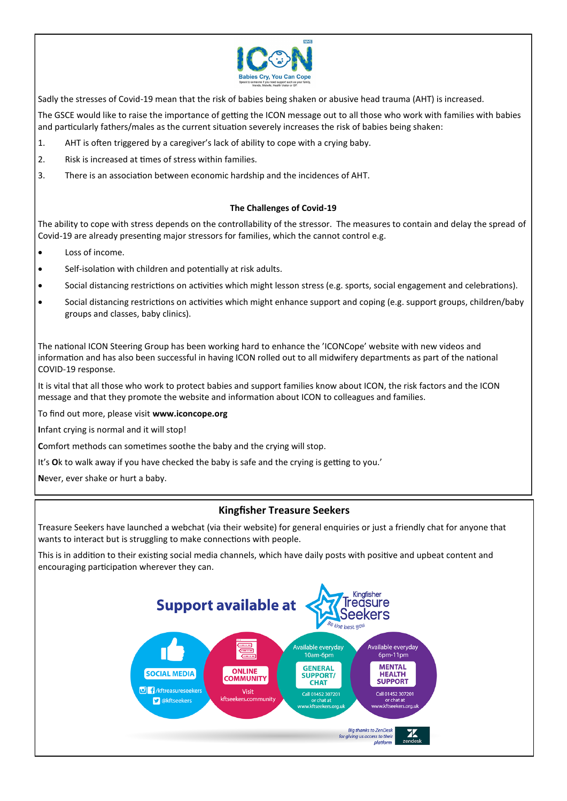

Sadly the stresses of Covid-19 mean that the risk of babies being shaken or abusive head trauma (AHT) is increased.

The GSCE would like to raise the importance of getting the ICON message out to all those who work with families with babies and particularly fathers/males as the current situation severely increases the risk of babies being shaken:

- 1. AHT is often triggered by a caregiver's lack of ability to cope with a crying baby.
- 2. Risk is increased at times of stress within families.
- 3. There is an association between economic hardship and the incidences of AHT.

#### **The Challenges of Covid-19**

The ability to cope with stress depends on the controllability of the stressor. The measures to contain and delay the spread of Covid-19 are already presenting major stressors for families, which the cannot control e.g.

- Loss of income.
- Self-isolation with children and potentially at risk adults.
- Social distancing restrictions on activities which might lesson stress (e.g. sports, social engagement and celebrations).
- Social distancing restrictions on activities which might enhance support and coping (e.g. support groups, children/baby groups and classes, baby clinics).

The national ICON Steering Group has been working hard to enhance the 'ICONCope' website with new videos and information and has also been successful in having ICON rolled out to all midwifery departments as part of the national COVID-19 response.

It is vital that all those who work to protect babies and support families know about ICON, the risk factors and the ICON message and that they promote the website and information about ICON to colleagues and families.

To find out more, please visit **www.iconcope.org**

**I**nfant crying is normal and it will stop!

**C**omfort methods can sometimes soothe the baby and the crying will stop.

It's **O**k to walk away if you have checked the baby is safe and the crying is getting to you.'

**N**ever, ever shake or hurt a baby.

# **Kingfisher Treasure Seekers**

Treasure Seekers have launched a webchat (via their website) for general enquiries or just a friendly chat for anyone that wants to interact but is struggling to make connections with people.

This is in addition to their existing social media channels, which have daily posts with positive and upbeat content and encouraging participation wherever they can.